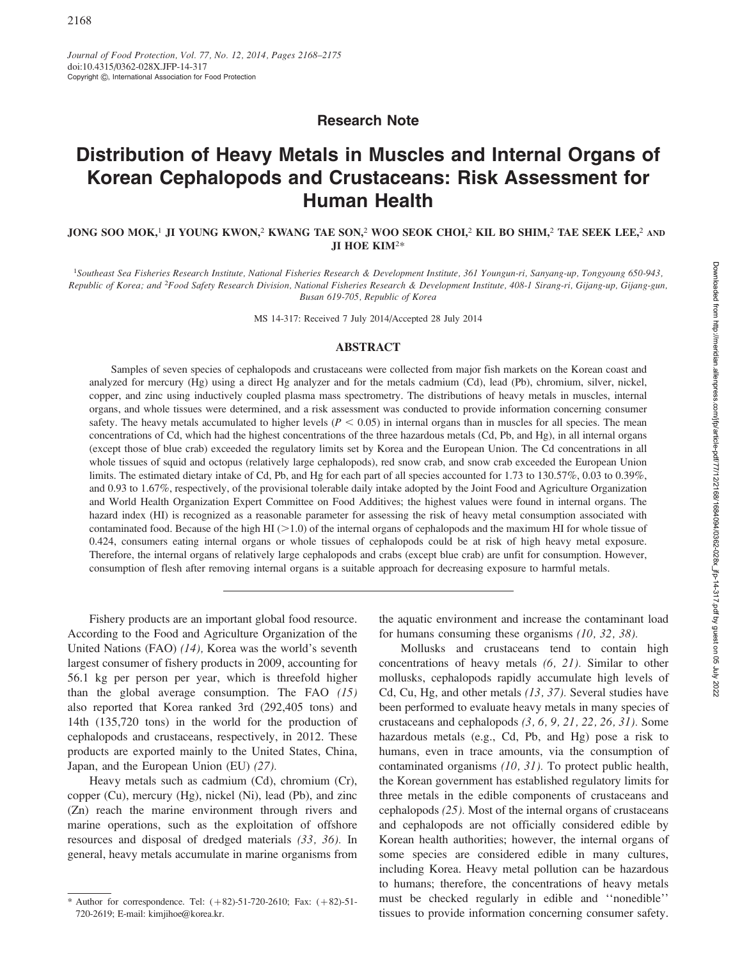## Research Note

# Distribution of Heavy Metals in Muscles and Internal Organs of Korean Cephalopods and Crustaceans: Risk Assessment for Human Health

JONG SOO MOK,<sup>1</sup> JI YOUNG KWON,<sup>2</sup> KWANG TAE SON,<sup>2</sup> WOO SEOK CHOI,<sup>2</sup> KIL BO SHIM,<sup>2</sup> TAE SEEK LEE,<sup>2</sup> AND JI HOE KIM2\*

<sup>1</sup>Southeast Sea Fisheries Research Institute, National Fisheries Research & Development Institute, 361 Youngun-ri, Sanyang-up, Tongyoung 650-943, Republic of Korea; and <sup>2</sup>Food Safety Research Division, National Fisheries Research & Development Institute, 408-1 Sirang-ri, Gijang-up, Gijang-gun, Busan 619-705, Republic of Korea

MS 14-317: Received 7 July 2014/Accepted 28 July 2014

### ABSTRACT

Samples of seven species of cephalopods and crustaceans were collected from major fish markets on the Korean coast and analyzed for mercury (Hg) using a direct Hg analyzer and for the metals cadmium (Cd), lead (Pb), chromium, silver, nickel, copper, and zinc using inductively coupled plasma mass spectrometry. The distributions of heavy metals in muscles, internal organs, and whole tissues were determined, and a risk assessment was conducted to provide information concerning consumer safety. The heavy metals accumulated to higher levels ( $P < 0.05$ ) in internal organs than in muscles for all species. The mean concentrations of Cd, which had the highest concentrations of the three hazardous metals (Cd, Pb, and Hg), in all internal organs (except those of blue crab) exceeded the regulatory limits set by Korea and the European Union. The Cd concentrations in all whole tissues of squid and octopus (relatively large cephalopods), red snow crab, and snow crab exceeded the European Union limits. The estimated dietary intake of Cd, Pb, and Hg for each part of all species accounted for 1.73 to 130.57%, 0.03 to 0.39%, and 0.93 to 1.67%, respectively, of the provisional tolerable daily intake adopted by the Joint Food and Agriculture Organization and World Health Organization Expert Committee on Food Additives; the highest values were found in internal organs. The hazard index (HI) is recognized as a reasonable parameter for assessing the risk of heavy metal consumption associated with contaminated food. Because of the high HI  $(>1.0)$  of the internal organs of cephalopods and the maximum HI for whole tissue of 0.424, consumers eating internal organs or whole tissues of cephalopods could be at risk of high heavy metal exposure. Therefore, the internal organs of relatively large cephalopods and crabs (except blue crab) are unfit for consumption. However, consumption of flesh after removing internal organs is a suitable approach for decreasing exposure to harmful metals.

Fishery products are an important global food resource. According to the Food and Agriculture Organization of the United Nations (FAO) (14), Korea was the world's seventh largest consumer of fishery products in 2009, accounting for 56.1 kg per person per year, which is threefold higher than the global average consumption. The FAO (15) also reported that Korea ranked 3rd (292,405 tons) and 14th (135,720 tons) in the world for the production of cephalopods and crustaceans, respectively, in 2012. These products are exported mainly to the United States, China, Japan, and the European Union (EU) (27).

Heavy metals such as cadmium (Cd), chromium (Cr), copper (Cu), mercury (Hg), nickel (Ni), lead (Pb), and zinc (Zn) reach the marine environment through rivers and marine operations, such as the exploitation of offshore resources and disposal of dredged materials (33, 36). In general, heavy metals accumulate in marine organisms from the aquatic environment and increase the contaminant load for humans consuming these organisms (10, 32, 38).

Mollusks and crustaceans tend to contain high concentrations of heavy metals (6, 21). Similar to other mollusks, cephalopods rapidly accumulate high levels of Cd, Cu, Hg, and other metals (13, 37). Several studies have been performed to evaluate heavy metals in many species of crustaceans and cephalopods  $(3, 6, 9, 21, 22, 26, 31)$ . Some hazardous metals (e.g., Cd, Pb, and Hg) pose a risk to humans, even in trace amounts, via the consumption of contaminated organisms (10, 31). To protect public health, the Korean government has established regulatory limits for three metals in the edible components of crustaceans and cephalopods (25). Most of the internal organs of crustaceans and cephalopods are not officially considered edible by Korean health authorities; however, the internal organs of some species are considered edible in many cultures, including Korea. Heavy metal pollution can be hazardous to humans; therefore, the concentrations of heavy metals must be checked regularly in edible and ''nonedible'' tissues to provide information concerning consumer safety.

<sup>\*</sup> Author for correspondence. Tel:  $(+82)$ -51-720-2610; Fax:  $(+82)$ -51-720-2619; E-mail: kimjihoe@korea.kr.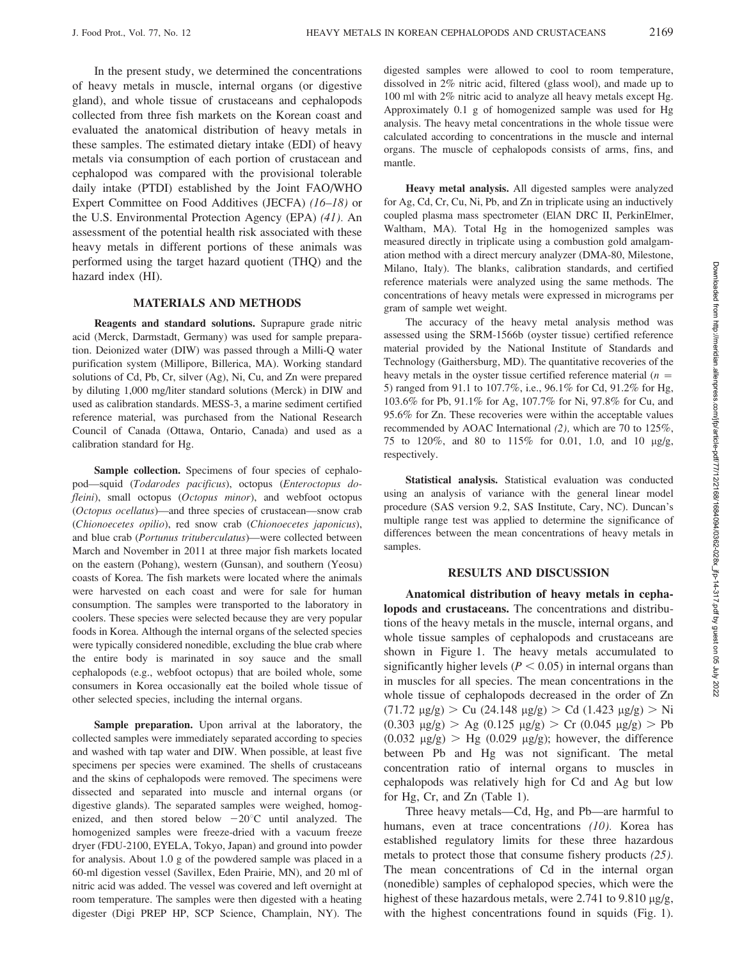In the present study, we determined the concentrations of heavy metals in muscle, internal organs (or digestive gland), and whole tissue of crustaceans and cephalopods collected from three fish markets on the Korean coast and evaluated the anatomical distribution of heavy metals in these samples. The estimated dietary intake (EDI) of heavy metals via consumption of each portion of crustacean and cephalopod was compared with the provisional tolerable daily intake (PTDI) established by the Joint FAO/WHO Expert Committee on Food Additives (JECFA) (16–18) or the U.S. Environmental Protection Agency (EPA) (41). An assessment of the potential health risk associated with these heavy metals in different portions of these animals was performed using the target hazard quotient (THQ) and the hazard index (HI).

#### MATERIALS AND METHODS

Reagents and standard solutions. Suprapure grade nitric acid (Merck, Darmstadt, Germany) was used for sample preparation. Deionized water (DIW) was passed through a Milli-Q water purification system (Millipore, Billerica, MA). Working standard solutions of Cd, Pb, Cr, silver (Ag), Ni, Cu, and Zn were prepared by diluting 1,000 mg/liter standard solutions (Merck) in DIW and used as calibration standards. MESS-3, a marine sediment certified reference material, was purchased from the National Research Council of Canada (Ottawa, Ontario, Canada) and used as a calibration standard for Hg.

Sample collection. Specimens of four species of cephalopod—squid (Todarodes pacificus), octopus (Enteroctopus dofleini), small octopus (Octopus minor), and webfoot octopus (Octopus ocellatus)—and three species of crustacean—snow crab (Chionoecetes opilio), red snow crab (Chionoecetes japonicus), and blue crab (Portunus trituberculatus)—were collected between March and November in 2011 at three major fish markets located on the eastern (Pohang), western (Gunsan), and southern (Yeosu) coasts of Korea. The fish markets were located where the animals were harvested on each coast and were for sale for human consumption. The samples were transported to the laboratory in coolers. These species were selected because they are very popular foods in Korea. Although the internal organs of the selected species were typically considered nonedible, excluding the blue crab where the entire body is marinated in soy sauce and the small cephalopods (e.g., webfoot octopus) that are boiled whole, some consumers in Korea occasionally eat the boiled whole tissue of other selected species, including the internal organs.

Sample preparation. Upon arrival at the laboratory, the collected samples were immediately separated according to species and washed with tap water and DIW. When possible, at least five specimens per species were examined. The shells of crustaceans and the skins of cephalopods were removed. The specimens were dissected and separated into muscle and internal organs (or digestive glands). The separated samples were weighed, homogenized, and then stored below  $-20^{\circ}$ C until analyzed. The homogenized samples were freeze-dried with a vacuum freeze dryer (FDU-2100, EYELA, Tokyo, Japan) and ground into powder for analysis. About 1.0 g of the powdered sample was placed in a 60-ml digestion vessel (Savillex, Eden Prairie, MN), and 20 ml of nitric acid was added. The vessel was covered and left overnight at room temperature. The samples were then digested with a heating digester (Digi PREP HP, SCP Science, Champlain, NY). The digested samples were allowed to cool to room temperature, dissolved in 2% nitric acid, filtered (glass wool), and made up to 100 ml with 2% nitric acid to analyze all heavy metals except Hg. Approximately 0.1 g of homogenized sample was used for Hg analysis. The heavy metal concentrations in the whole tissue were calculated according to concentrations in the muscle and internal organs. The muscle of cephalopods consists of arms, fins, and mantle.

Heavy metal analysis. All digested samples were analyzed for Ag, Cd, Cr, Cu, Ni, Pb, and Zn in triplicate using an inductively coupled plasma mass spectrometer (ElAN DRC II, PerkinElmer, Waltham, MA). Total Hg in the homogenized samples was measured directly in triplicate using a combustion gold amalgamation method with a direct mercury analyzer (DMA-80, Milestone, Milano, Italy). The blanks, calibration standards, and certified reference materials were analyzed using the same methods. The concentrations of heavy metals were expressed in micrograms per gram of sample wet weight.

The accuracy of the heavy metal analysis method was assessed using the SRM-1566b (oyster tissue) certified reference material provided by the National Institute of Standards and Technology (Gaithersburg, MD). The quantitative recoveries of the heavy metals in the oyster tissue certified reference material  $(n =$ 5) ranged from 91.1 to 107.7%, i.e., 96.1% for Cd, 91.2% for Hg, 103.6% for Pb, 91.1% for Ag, 107.7% for Ni, 97.8% for Cu, and 95.6% for Zn. These recoveries were within the acceptable values recommended by AOAC International (2), which are 70 to 125%, 75 to 120%, and 80 to 115% for 0.01, 1.0, and 10 mg/g, respectively.

Statistical analysis. Statistical evaluation was conducted using an analysis of variance with the general linear model procedure (SAS version 9.2, SAS Institute, Cary, NC). Duncan's multiple range test was applied to determine the significance of differences between the mean concentrations of heavy metals in samples.

#### RESULTS AND DISCUSSION

Anatomical distribution of heavy metals in cephalopods and crustaceans. The concentrations and distributions of the heavy metals in the muscle, internal organs, and whole tissue samples of cephalopods and crustaceans are shown in Figure 1. The heavy metals accumulated to significantly higher levels ( $P < 0.05$ ) in internal organs than in muscles for all species. The mean concentrations in the whole tissue of cephalopods decreased in the order of Zn  $(71.72 \text{ µg/g})$  > Cu  $(24.148 \text{ µg/g})$  > Cd  $(1.423 \text{ µg/g})$  > Ni  $(0.303 \text{ µg/g}) > \text{Ag } (0.125 \text{ µg/g}) > \text{Cr } (0.045 \text{ µg/g}) > \text{Pb}$  $(0.032 \text{ µg/g}) > Hg (0.029 \text{ µg/g})$ ; however, the difference between Pb and Hg was not significant. The metal concentration ratio of internal organs to muscles in cephalopods was relatively high for Cd and Ag but low for Hg, Cr, and Zn (Table 1).

Three heavy metals—Cd, Hg, and Pb—are harmful to humans, even at trace concentrations (10). Korea has established regulatory limits for these three hazardous metals to protect those that consume fishery products (25). The mean concentrations of Cd in the internal organ (nonedible) samples of cephalopod species, which were the highest of these hazardous metals, were  $2.741$  to  $9.810 \mu g/g$ , with the highest concentrations found in squids (Fig. 1).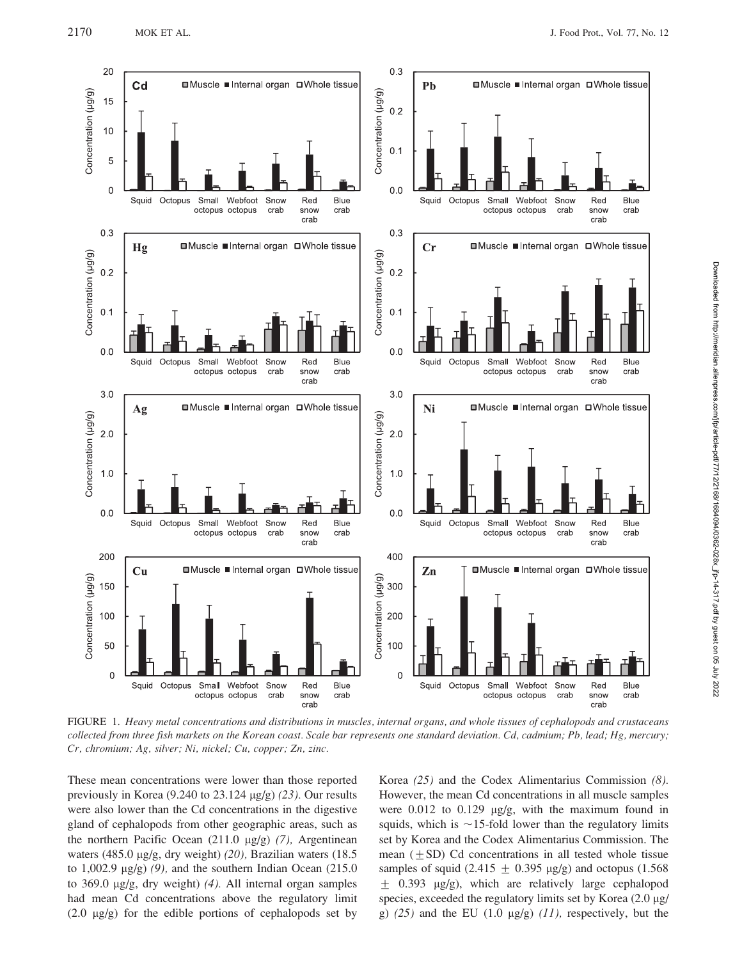

FIGURE 1. Heavy metal concentrations and distributions in muscles, internal organs, and whole tissues of cephalopods and crustaceans collected from three fish markets on the Korean coast. Scale bar represents one standard deviation. Cd, cadmium; Pb, lead; Hg, mercury; Cr, chromium; Ag, silver; Ni, nickel; Cu, copper; Zn, zinc.

These mean concentrations were lower than those reported previously in Korea  $(9.240 \text{ to } 23.124 \text{ µg/g})$  (23). Our results were also lower than the Cd concentrations in the digestive gland of cephalopods from other geographic areas, such as the northern Pacific Ocean  $(211.0 \text{ µg/g})$  (7), Argentinean waters (485.0 µg/g, dry weight) (20), Brazilian waters (18.5 to 1,002.9  $\mu$ g/g) (9), and the southern Indian Ocean (215.0) to 369.0 mg/g, dry weight) (4). All internal organ samples had mean Cd concentrations above the regulatory limit (2.0 mg/g) for the edible portions of cephalopods set by Korea (25) and the Codex Alimentarius Commission (8). However, the mean Cd concentrations in all muscle samples were  $0.012$  to  $0.129$   $\mu$ g/g, with the maximum found in squids, which is  $\sim$ 15-fold lower than the regulatory limits set by Korea and the Codex Alimentarius Commission. The mean  $(+ SD)$  Cd concentrations in all tested whole tissue samples of squid  $(2.415 + 0.395 \mu g/g)$  and octopus  $(1.568$  $\pm$  0.393 µg/g), which are relatively large cephalopod species, exceeded the regulatory limits set by Korea (2.0 µg/ g)  $(25)$  and the EU  $(1.0 \text{ µg/g})$   $(11)$ , respectively, but the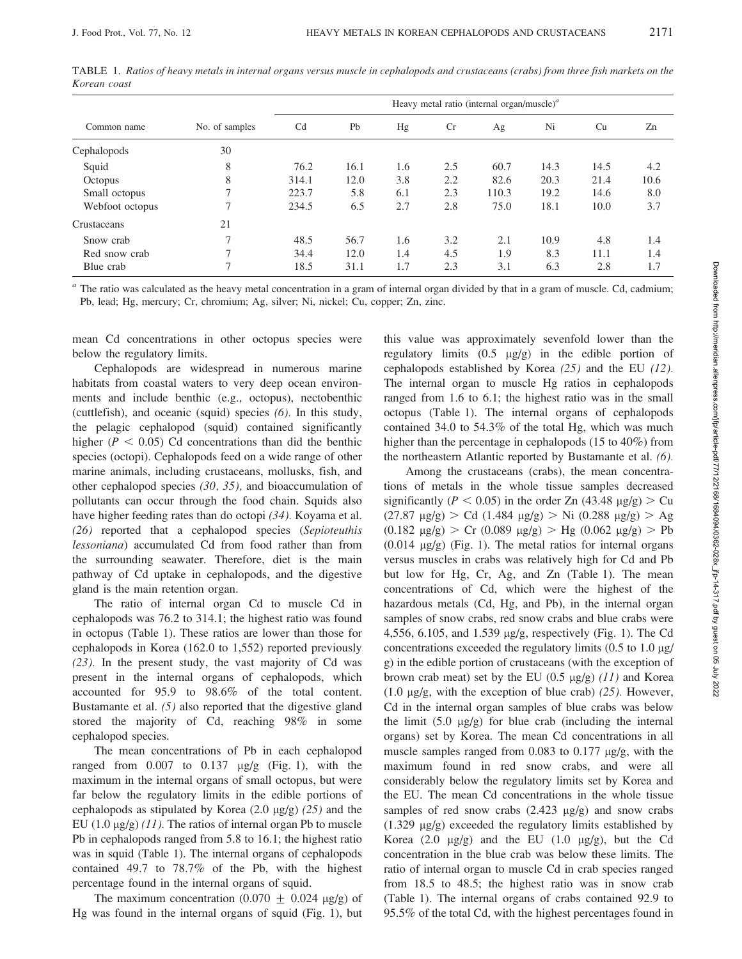|                 | No. of samples | Heavy metal ratio (internal organ/muscle) <sup><math>a</math></sup> |      |     |     |       |      |      |      |  |
|-----------------|----------------|---------------------------------------------------------------------|------|-----|-----|-------|------|------|------|--|
| Common name     |                | C <sub>d</sub>                                                      | Pb   | Hg  | Cr  | Ag    | Ni   | Cu   | Zn   |  |
| Cephalopods     | 30             |                                                                     |      |     |     |       |      |      |      |  |
| Squid           | 8              | 76.2                                                                | 16.1 | 1.6 | 2.5 | 60.7  | 14.3 | 14.5 | 4.2  |  |
| Octopus         | 8              | 314.1                                                               | 12.0 | 3.8 | 2.2 | 82.6  | 20.3 | 21.4 | 10.6 |  |
| Small octopus   |                | 223.7                                                               | 5.8  | 6.1 | 2.3 | 110.3 | 19.2 | 14.6 | 8.0  |  |
| Webfoot octopus | ┑              | 234.5                                                               | 6.5  | 2.7 | 2.8 | 75.0  | 18.1 | 10.0 | 3.7  |  |
| Crustaceans     | 21             |                                                                     |      |     |     |       |      |      |      |  |
| Snow crab       | $\overline{ }$ | 48.5                                                                | 56.7 | 1.6 | 3.2 | 2.1   | 10.9 | 4.8  | 1.4  |  |
| Red snow crab   | ┑              | 34.4                                                                | 12.0 | 1.4 | 4.5 | 1.9   | 8.3  | 11.1 | 1.4  |  |
| Blue crab       | ┑              | 18.5                                                                | 31.1 | 1.7 | 2.3 | 3.1   | 6.3  | 2.8  | 1.7  |  |

TABLE 1. Ratios of heavy metals in internal organs versus muscle in cephalopods and crustaceans (crabs) from three fish markets on the Korean coast

<sup>a</sup> The ratio was calculated as the heavy metal concentration in a gram of internal organ divided by that in a gram of muscle. Cd, cadmium; Pb, lead; Hg, mercury; Cr, chromium; Ag, silver; Ni, nickel; Cu, copper; Zn, zinc.

mean Cd concentrations in other octopus species were below the regulatory limits.

Cephalopods are widespread in numerous marine habitats from coastal waters to very deep ocean environments and include benthic (e.g., octopus), nectobenthic (cuttlefish), and oceanic (squid) species (6). In this study, the pelagic cephalopod (squid) contained significantly higher ( $P < 0.05$ ) Cd concentrations than did the benthic species (octopi). Cephalopods feed on a wide range of other marine animals, including crustaceans, mollusks, fish, and other cephalopod species (30, 35), and bioaccumulation of pollutants can occur through the food chain. Squids also have higher feeding rates than do octopi (34). Koyama et al. (26) reported that a cephalopod species (Sepioteuthis lessoniana) accumulated Cd from food rather than from the surrounding seawater. Therefore, diet is the main pathway of Cd uptake in cephalopods, and the digestive gland is the main retention organ.

The ratio of internal organ Cd to muscle Cd in cephalopods was 76.2 to 314.1; the highest ratio was found in octopus (Table 1). These ratios are lower than those for cephalopods in Korea (162.0 to 1,552) reported previously (23). In the present study, the vast majority of Cd was present in the internal organs of cephalopods, which accounted for 95.9 to 98.6% of the total content. Bustamante et al. (5) also reported that the digestive gland stored the majority of Cd, reaching 98% in some cephalopod species.

The mean concentrations of Pb in each cephalopod ranged from  $0.007$  to  $0.137$   $\mu$ g/g (Fig. 1), with the maximum in the internal organs of small octopus, but were far below the regulatory limits in the edible portions of cephalopods as stipulated by Korea  $(2.0 \mu g/g)$   $(25)$  and the EU (1.0  $\mu$ g/g) (11). The ratios of internal organ Pb to muscle Pb in cephalopods ranged from 5.8 to 16.1; the highest ratio was in squid (Table 1). The internal organs of cephalopods contained 49.7 to 78.7% of the Pb, with the highest percentage found in the internal organs of squid.

The maximum concentration (0.070  $\pm$  0.024 µg/g) of Hg was found in the internal organs of squid (Fig. 1), but this value was approximately sevenfold lower than the regulatory limits  $(0.5 \text{ \mu g/g})$  in the edible portion of cephalopods established by Korea (25) and the EU (12). The internal organ to muscle Hg ratios in cephalopods ranged from 1.6 to 6.1; the highest ratio was in the small octopus (Table 1). The internal organs of cephalopods contained 34.0 to 54.3% of the total Hg, which was much higher than the percentage in cephalopods (15 to 40%) from the northeastern Atlantic reported by Bustamante et al. (6).

Among the crustaceans (crabs), the mean concentrations of metals in the whole tissue samples decreased significantly ( $P < 0.05$ ) in the order Zn (43.48  $\mu$ g/g) > Cu  $(27.87 \text{ µg/g})$  > Cd  $(1.484 \text{ µg/g})$  > Ni  $(0.288 \text{ µg/g})$  > Ag  $(0.182 \text{ µg/g})$  > Cr  $(0.089 \text{ µg/g})$  > Hg  $(0.062 \text{ µg/g})$  > Pb  $(0.014 \text{ µg/g})$  (Fig. 1). The metal ratios for internal organs versus muscles in crabs was relatively high for Cd and Pb but low for Hg, Cr, Ag, and Zn (Table 1). The mean concentrations of Cd, which were the highest of the hazardous metals (Cd, Hg, and Pb), in the internal organ samples of snow crabs, red snow crabs and blue crabs were 4,556, 6.105, and 1.539  $\mu$ g/g, respectively (Fig. 1). The Cd concentrations exceeded the regulatory limits  $(0.5 \text{ to } 1.0 \text{ µg})$ g) in the edible portion of crustaceans (with the exception of brown crab meat) set by the EU  $(0.5 \text{ µg/g})$  (11) and Korea (1.0  $\mu$ g/g, with the exception of blue crab) (25). However, Cd in the internal organ samples of blue crabs was below the limit  $(5.0 \text{ µg/g})$  for blue crab (including the internal organs) set by Korea. The mean Cd concentrations in all muscle samples ranged from  $0.083$  to  $0.177 \mu g/g$ , with the maximum found in red snow crabs, and were all considerably below the regulatory limits set by Korea and the EU. The mean Cd concentrations in the whole tissue samples of red snow crabs  $(2.423 \text{ µg/g})$  and snow crabs  $(1.329 \text{ µg/g})$  exceeded the regulatory limits established by Korea  $(2.0 \text{ }\mu\text{g/g})$  and the EU  $(1.0 \text{ }\mu\text{g/g})$ , but the Cd concentration in the blue crab was below these limits. The ratio of internal organ to muscle Cd in crab species ranged from 18.5 to 48.5; the highest ratio was in snow crab (Table 1). The internal organs of crabs contained 92.9 to 95.5% of the total Cd, with the highest percentages found in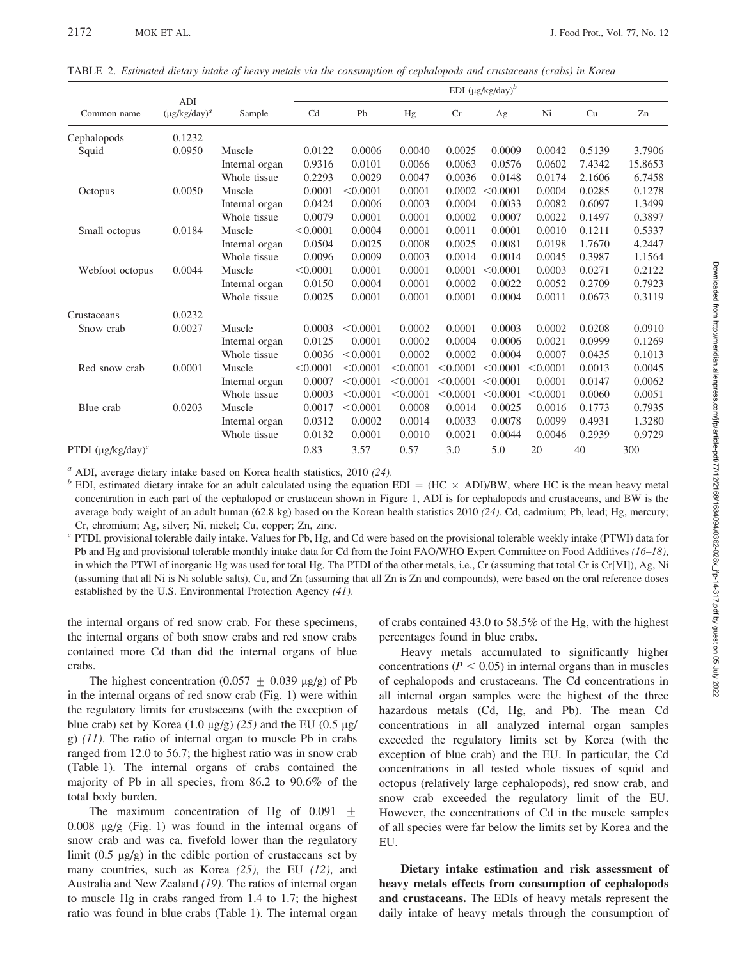|                         |                                      |                | EDI $(\mu g/kg/day)^b$ |          |          |          |          |          |        |         |
|-------------------------|--------------------------------------|----------------|------------------------|----------|----------|----------|----------|----------|--------|---------|
| Common name             | ADI<br>$(\mu$ g/kg/day) <sup>a</sup> | Sample         | Cd                     | Pb       | Hg       | Cr       | Ag       | Ni       | Cu     | Zn      |
| Cephalopods             | 0.1232                               |                |                        |          |          |          |          |          |        |         |
| Squid                   | 0.0950                               | Muscle         | 0.0122                 | 0.0006   | 0.0040   | 0.0025   | 0.0009   | 0.0042   | 0.5139 | 3.7906  |
|                         |                                      | Internal organ | 0.9316                 | 0.0101   | 0.0066   | 0.0063   | 0.0576   | 0.0602   | 7.4342 | 15.8653 |
|                         |                                      | Whole tissue   | 0.2293                 | 0.0029   | 0.0047   | 0.0036   | 0.0148   | 0.0174   | 2.1606 | 6.7458  |
| Octopus                 | 0.0050                               | Muscle         | 0.0001                 | < 0.0001 | 0.0001   | 0.0002   | < 0.0001 | 0.0004   | 0.0285 | 0.1278  |
|                         |                                      | Internal organ | 0.0424                 | 0.0006   | 0.0003   | 0.0004   | 0.0033   | 0.0082   | 0.6097 | 1.3499  |
|                         |                                      | Whole tissue   | 0.0079                 | 0.0001   | 0.0001   | 0.0002   | 0.0007   | 0.0022   | 0.1497 | 0.3897  |
| Small octopus           | 0.0184                               | Muscle         | < 0.0001               | 0.0004   | 0.0001   | 0.0011   | 0.0001   | 0.0010   | 0.1211 | 0.5337  |
|                         |                                      | Internal organ | 0.0504                 | 0.0025   | 0.0008   | 0.0025   | 0.0081   | 0.0198   | 1.7670 | 4.2447  |
|                         |                                      | Whole tissue   | 0.0096                 | 0.0009   | 0.0003   | 0.0014   | 0.0014   | 0.0045   | 0.3987 | 1.1564  |
| Webfoot octopus         | 0.0044                               | Muscle         | < 0.0001               | 0.0001   | 0.0001   | 0.0001   | < 0.0001 | 0.0003   | 0.0271 | 0.2122  |
|                         |                                      | Internal organ | 0.0150                 | 0.0004   | 0.0001   | 0.0002   | 0.0022   | 0.0052   | 0.2709 | 0.7923  |
|                         |                                      | Whole tissue   | 0.0025                 | 0.0001   | 0.0001   | 0.0001   | 0.0004   | 0.0011   | 0.0673 | 0.3119  |
| Crustaceans             | 0.0232                               |                |                        |          |          |          |          |          |        |         |
| Snow crab               | 0.0027                               | Muscle         | 0.0003                 | < 0.0001 | 0.0002   | 0.0001   | 0.0003   | 0.0002   | 0.0208 | 0.0910  |
|                         |                                      | Internal organ | 0.0125                 | 0.0001   | 0.0002   | 0.0004   | 0.0006   | 0.0021   | 0.0999 | 0.1269  |
|                         |                                      | Whole tissue   | 0.0036                 | < 0.0001 | 0.0002   | 0.0002   | 0.0004   | 0.0007   | 0.0435 | 0.1013  |
| Red snow crab           | 0.0001                               | Muscle         | < 0.0001               | < 0.0001 | < 0.0001 | < 0.0001 | < 0.0001 | < 0.0001 | 0.0013 | 0.0045  |
|                         |                                      | Internal organ | 0.0007                 | < 0.0001 | < 0.0001 | < 0.0001 | < 0.0001 | 0.0001   | 0.0147 | 0.0062  |
|                         |                                      | Whole tissue   | 0.0003                 | < 0.0001 | < 0.0001 | < 0.0001 | < 0.0001 | < 0.0001 | 0.0060 | 0.0051  |
| Blue crab               | 0.0203                               | Muscle         | 0.0017                 | < 0.0001 | 0.0008   | 0.0014   | 0.0025   | 0.0016   | 0.1773 | 0.7935  |
|                         |                                      | Internal organ | 0.0312                 | 0.0002   | 0.0014   | 0.0033   | 0.0078   | 0.0099   | 0.4931 | 1.3280  |
|                         |                                      | Whole tissue   | 0.0132                 | 0.0001   | 0.0010   | 0.0021   | 0.0044   | 0.0046   | 0.2939 | 0.9729  |
| PTDI $(\mu g/kg/day)^c$ |                                      |                | 0.83                   | 3.57     | 0.57     | 3.0      | 5.0      | 20       | 40     | 300     |

TABLE 2. Estimated dietary intake of heavy metals via the consumption of cephalopods and crustaceans (crabs) in Korea

<sup>a</sup> ADI, average dietary intake based on Korea health statistics, 2010 (24).<br>
<sup>b</sup> EDI, estimated dietary intake for an adult calculated using the equation EDI = (HC × ADI)/BW, where HC is the mean heavy metal concentration in each part of the cephalopod or crustacean shown in Figure 1, ADI is for cephalopods and crustaceans, and BW is the average body weight of an adult human (62.8 kg) based on the Korean health statistics 2010 (24). Cd, cadmium; Pb, lead; Hg, mercury; Cr, chromium; Ag, silver; Ni, nickel; Cu, copper; Zn, zinc.

 $c$  PTDI, provisional tolerable daily intake. Values for Pb, Hg, and Cd were based on the provisional tolerable weekly intake (PTWI) data for Pb and Hg and provisional tolerable monthly intake data for Cd from the Joint FAO/WHO Expert Committee on Food Additives (16–18), in which the PTWI of inorganic Hg was used for total Hg. The PTDI of the other metals, i.e., Cr (assuming that total Cr is Cr[VI]), Ag, Ni (assuming that all Ni is Ni soluble salts), Cu, and Zn (assuming that all Zn is Zn and compounds), were based on the oral reference doses established by the U.S. Environmental Protection Agency (41).

the internal organs of red snow crab. For these specimens, the internal organs of both snow crabs and red snow crabs contained more Cd than did the internal organs of blue crabs.

The highest concentration  $(0.057 + 0.039 \text{ µg/g})$  of Pb in the internal organs of red snow crab (Fig. 1) were within the regulatory limits for crustaceans (with the exception of blue crab) set by Korea  $(1.0 \text{ µg/g})$   $(25)$  and the EU  $(0.5 \text{ µg}/$ g)  $(11)$ . The ratio of internal organ to muscle Pb in crabs ranged from 12.0 to 56.7; the highest ratio was in snow crab (Table 1). The internal organs of crabs contained the majority of Pb in all species, from 86.2 to 90.6% of the total body burden.

The maximum concentration of Hg of  $0.091 \pm$  $0.008$   $\mu$ g/g (Fig. 1) was found in the internal organs of snow crab and was ca. fivefold lower than the regulatory limit  $(0.5 \text{ µg/g})$  in the edible portion of crustaceans set by many countries, such as Korea  $(25)$ , the EU  $(12)$ , and Australia and New Zealand (19). The ratios of internal organ to muscle Hg in crabs ranged from 1.4 to 1.7; the highest ratio was found in blue crabs (Table 1). The internal organ

of crabs contained 43.0 to 58.5% of the Hg, with the highest percentages found in blue crabs.

Heavy metals accumulated to significantly higher concentrations ( $P < 0.05$ ) in internal organs than in muscles of cephalopods and crustaceans. The Cd concentrations in all internal organ samples were the highest of the three hazardous metals (Cd, Hg, and Pb). The mean Cd concentrations in all analyzed internal organ samples exceeded the regulatory limits set by Korea (with the exception of blue crab) and the EU. In particular, the Cd concentrations in all tested whole tissues of squid and octopus (relatively large cephalopods), red snow crab, and snow crab exceeded the regulatory limit of the EU. However, the concentrations of Cd in the muscle samples of all species were far below the limits set by Korea and the EU.

Dietary intake estimation and risk assessment of heavy metals effects from consumption of cephalopods and crustaceans. The EDIs of heavy metals represent the daily intake of heavy metals through the consumption of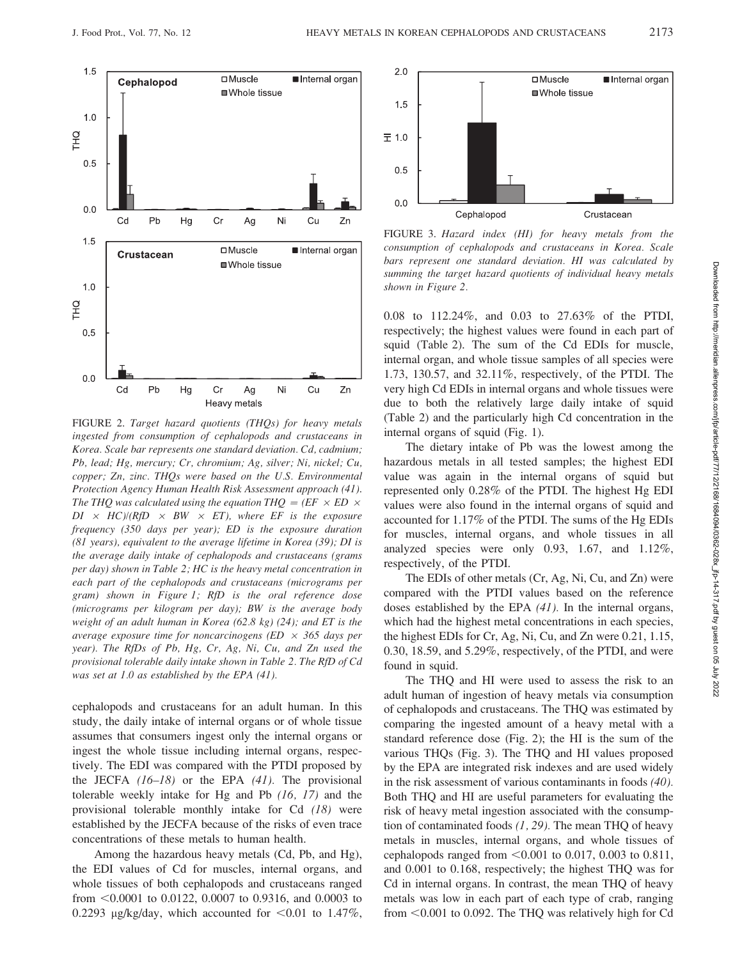

FIGURE 2. Target hazard quotients (THQs) for heavy metals ingested from consumption of cephalopods and crustaceans in Korea. Scale bar represents one standard deviation. Cd, cadmium; Pb, lead; Hg, mercury; Cr, chromium; Ag, silver; Ni, nickel; Cu, copper; Zn, zinc. THQs were based on the U.S. Environmental Protection Agency Human Health Risk Assessment approach (41). The THQ was calculated using the equation THQ = (EF  $\times$  ED  $\times$  $DI \times HC/(RfD \times BW \times ET)$ , where EF is the exposure frequency (350 days per year); ED is the exposure duration (81 years), equivalent to the average lifetime in Korea (39); DI is the average daily intake of cephalopods and crustaceans (grams per day) shown in Table 2; HC is the heavy metal concentration in each part of the cephalopods and crustaceans (micrograms per gram) shown in Figure 1; RfD is the oral reference dose (micrograms per kilogram per day); BW is the average body weight of an adult human in Korea (62.8 kg) (24); and ET is the average exposure time for noncarcinogens (ED  $\times$  365 days per year). The RfDs of Pb, Hg, Cr, Ag, Ni, Cu, and Zn used the provisional tolerable daily intake shown in Table 2. The RfD of Cd was set at 1.0 as established by the EPA (41).

cephalopods and crustaceans for an adult human. In this study, the daily intake of internal organs or of whole tissue assumes that consumers ingest only the internal organs or ingest the whole tissue including internal organs, respectively. The EDI was compared with the PTDI proposed by the JECFA  $(16–18)$  or the EPA  $(41)$ . The provisional tolerable weekly intake for Hg and Pb (16, 17) and the provisional tolerable monthly intake for Cd (18) were established by the JECFA because of the risks of even trace concentrations of these metals to human health.

Among the hazardous heavy metals (Cd, Pb, and Hg), the EDI values of Cd for muscles, internal organs, and whole tissues of both cephalopods and crustaceans ranged from  $< 0.0001$  to 0.0122, 0.0007 to 0.9316, and 0.0003 to 0.2293 µg/kg/day, which accounted for  $<$ 0.01 to 1.47%,



FIGURE 3. Hazard index (HI) for heavy metals from the consumption of cephalopods and crustaceans in Korea. Scale bars represent one standard deviation. HI was calculated by summing the target hazard quotients of individual heavy metals shown in Figure 2.

0.08 to 112.24%, and 0.03 to 27.63% of the PTDI, respectively; the highest values were found in each part of squid (Table 2). The sum of the Cd EDIs for muscle, internal organ, and whole tissue samples of all species were 1.73, 130.57, and 32.11%, respectively, of the PTDI. The very high Cd EDIs in internal organs and whole tissues were due to both the relatively large daily intake of squid (Table 2) and the particularly high Cd concentration in the internal organs of squid (Fig. 1).

The dietary intake of Pb was the lowest among the hazardous metals in all tested samples; the highest EDI value was again in the internal organs of squid but represented only 0.28% of the PTDI. The highest Hg EDI values were also found in the internal organs of squid and accounted for 1.17% of the PTDI. The sums of the Hg EDIs for muscles, internal organs, and whole tissues in all analyzed species were only 0.93, 1.67, and 1.12%, respectively, of the PTDI.

The EDIs of other metals (Cr, Ag, Ni, Cu, and Zn) were compared with the PTDI values based on the reference doses established by the EPA (41). In the internal organs, which had the highest metal concentrations in each species, the highest EDIs for Cr, Ag, Ni, Cu, and Zn were 0.21, 1.15, 0.30, 18.59, and 5.29%, respectively, of the PTDI, and were found in squid.

The THQ and HI were used to assess the risk to an adult human of ingestion of heavy metals via consumption of cephalopods and crustaceans. The THQ was estimated by comparing the ingested amount of a heavy metal with a standard reference dose (Fig. 2); the HI is the sum of the various THQs (Fig. 3). The THQ and HI values proposed by the EPA are integrated risk indexes and are used widely in the risk assessment of various contaminants in foods (40). Both THQ and HI are useful parameters for evaluating the risk of heavy metal ingestion associated with the consumption of contaminated foods  $(1, 29)$ . The mean THQ of heavy metals in muscles, internal organs, and whole tissues of cephalopods ranged from  $\leq 0.001$  to 0.017, 0.003 to 0.811, and 0.001 to 0.168, respectively; the highest THQ was for Cd in internal organs. In contrast, the mean THQ of heavy metals was low in each part of each type of crab, ranging from  $< 0.001$  to 0.092. The THQ was relatively high for Cd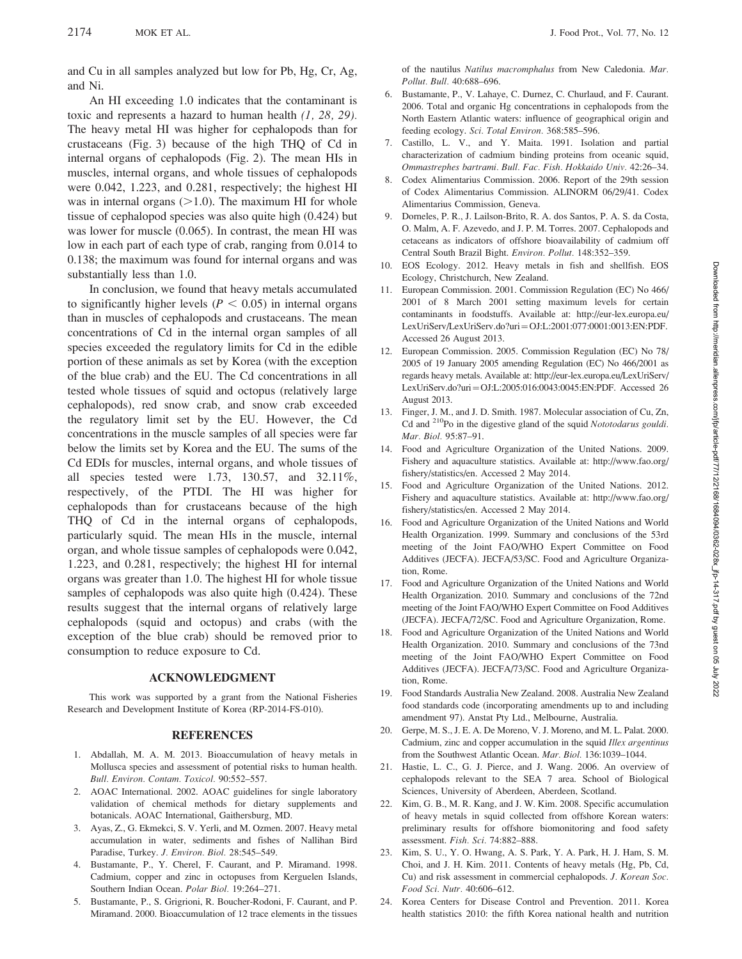and Cu in all samples analyzed but low for Pb, Hg, Cr, Ag, and Ni.

An HI exceeding 1.0 indicates that the contaminant is toxic and represents a hazard to human health  $(1, 28, 29)$ . The heavy metal HI was higher for cephalopods than for crustaceans (Fig. 3) because of the high THQ of Cd in internal organs of cephalopods (Fig. 2). The mean HIs in muscles, internal organs, and whole tissues of cephalopods were 0.042, 1.223, and 0.281, respectively; the highest HI was in internal organs  $(>1.0)$ . The maximum HI for whole tissue of cephalopod species was also quite high (0.424) but was lower for muscle (0.065). In contrast, the mean HI was low in each part of each type of crab, ranging from 0.014 to 0.138; the maximum was found for internal organs and was substantially less than 1.0.

In conclusion, we found that heavy metals accumulated to significantly higher levels ( $P < 0.05$ ) in internal organs than in muscles of cephalopods and crustaceans. The mean concentrations of Cd in the internal organ samples of all species exceeded the regulatory limits for Cd in the edible portion of these animals as set by Korea (with the exception of the blue crab) and the EU. The Cd concentrations in all tested whole tissues of squid and octopus (relatively large cephalopods), red snow crab, and snow crab exceeded the regulatory limit set by the EU. However, the Cd concentrations in the muscle samples of all species were far below the limits set by Korea and the EU. The sums of the Cd EDIs for muscles, internal organs, and whole tissues of all species tested were 1.73, 130.57, and 32.11%, respectively, of the PTDI. The HI was higher for cephalopods than for crustaceans because of the high THQ of Cd in the internal organs of cephalopods, particularly squid. The mean HIs in the muscle, internal organ, and whole tissue samples of cephalopods were 0.042, 1.223, and 0.281, respectively; the highest HI for internal organs was greater than 1.0. The highest HI for whole tissue samples of cephalopods was also quite high (0.424). These results suggest that the internal organs of relatively large cephalopods (squid and octopus) and crabs (with the exception of the blue crab) should be removed prior to consumption to reduce exposure to Cd.

#### ACKNOWLEDGMENT

This work was supported by a grant from the National Fisheries Research and Development Institute of Korea (RP-2014-FS-010).

#### **REFERENCES**

- 1. Abdallah, M. A. M. 2013. Bioaccumulation of heavy metals in Mollusca species and assessment of potential risks to human health. Bull. Environ. Contam. Toxicol. 90:552–557.
- 2. AOAC International. 2002. AOAC guidelines for single laboratory validation of chemical methods for dietary supplements and botanicals. AOAC International, Gaithersburg, MD.
- 3. Ayas, Z., G. Ekmekci, S. V. Yerli, and M. Ozmen. 2007. Heavy metal accumulation in water, sediments and fishes of Nallihan Bird Paradise, Turkey. J. Environ. Biol. 28:545–549.
- 4. Bustamante, P., Y. Cherel, F. Caurant, and P. Miramand. 1998. Cadmium, copper and zinc in octopuses from Kerguelen Islands, Southern Indian Ocean. Polar Biol. 19:264–271.
- 5. Bustamante, P., S. Grigrioni, R. Boucher-Rodoni, F. Caurant, and P. Miramand. 2000. Bioaccumulation of 12 trace elements in the tissues

of the nautilus Natilus macromphalus from New Caledonia. Mar. Pollut. Bull. 40:688–696.

- 6. Bustamante, P., V. Lahaye, C. Durnez, C. Churlaud, and F. Caurant. 2006. Total and organic Hg concentrations in cephalopods from the North Eastern Atlantic waters: influence of geographical origin and feeding ecology. Sci. Total Environ. 368:585–596.
- 7. Castillo, L. V., and Y. Maita. 1991. Isolation and partial characterization of cadmium binding proteins from oceanic squid, Ommastrephes bartrami. Bull. Fac. Fish. Hokkaido Univ. 42:26–34.
- 8. Codex Alimentarius Commission. 2006. Report of the 29th session of Codex Alimentarius Commission. ALINORM 06/29/41. Codex Alimentarius Commission, Geneva.
- 9. Dorneles, P. R., J. Lailson-Brito, R. A. dos Santos, P. A. S. da Costa, O. Malm, A. F. Azevedo, and J. P. M. Torres. 2007. Cephalopods and cetaceans as indicators of offshore bioavailability of cadmium off Central South Brazil Bight. Environ. Pollut. 148:352–359.
- 10. EOS Ecology. 2012. Heavy metals in fish and shellfish. EOS Ecology, Christchurch, New Zealand.
- 11. European Commission. 2001. Commission Regulation (EC) No 466/ 2001 of 8 March 2001 setting maximum levels for certain contaminants in foodstuffs. Available at: http://eur-lex.europa.eu/ LexUriServ/LexUriServ.do?uri~OJ:L:2001:077:0001:0013:EN:PDF. Accessed 26 August 2013.
- 12. European Commission. 2005. Commission Regulation (EC) No 78/ 2005 of 19 January 2005 amending Regulation (EC) No 466/2001 as regards heavy metals. Available at: http://eur-lex.europa.eu/LexUriServ/ LexUriServ.do?uri~OJ:L:2005:016:0043:0045:EN:PDF. Accessed 26 August 2013.
- 13. Finger, J. M., and J. D. Smith. 1987. Molecular association of Cu, Zn, Cd and 210Po in the digestive gland of the squid Nototodarus gouldi. Mar. Biol. 95:87–91.
- 14. Food and Agriculture Organization of the United Nations. 2009. Fishery and aquaculture statistics. Available at: http://www.fao.org/ fishery/statistics/en. Accessed 2 May 2014.
- 15. Food and Agriculture Organization of the United Nations. 2012. Fishery and aquaculture statistics. Available at: http://www.fao.org/ fishery/statistics/en. Accessed 2 May 2014.
- 16. Food and Agriculture Organization of the United Nations and World Health Organization. 1999. Summary and conclusions of the 53rd meeting of the Joint FAO/WHO Expert Committee on Food Additives (JECFA). JECFA/53/SC. Food and Agriculture Organization, Rome.
- 17. Food and Agriculture Organization of the United Nations and World Health Organization. 2010. Summary and conclusions of the 72nd meeting of the Joint FAO/WHO Expert Committee on Food Additives (JECFA). JECFA/72/SC. Food and Agriculture Organization, Rome.
- 18. Food and Agriculture Organization of the United Nations and World Health Organization. 2010. Summary and conclusions of the 73nd meeting of the Joint FAO/WHO Expert Committee on Food Additives (JECFA). JECFA/73/SC. Food and Agriculture Organization, Rome.
- 19. Food Standards Australia New Zealand. 2008. Australia New Zealand food standards code (incorporating amendments up to and including amendment 97). Anstat Pty Ltd., Melbourne, Australia.
- 20. Gerpe, M. S., J. E. A. De Moreno, V. J. Moreno, and M. L. Palat. 2000. Cadmium, zinc and copper accumulation in the squid Illex argentinus from the Southwest Atlantic Ocean. Mar. Biol. 136:1039–1044.
- 21. Hastie, L. C., G. J. Pierce, and J. Wang. 2006. An overview of cephalopods relevant to the SEA 7 area. School of Biological Sciences, University of Aberdeen, Aberdeen, Scotland.
- 22. Kim, G. B., M. R. Kang, and J. W. Kim. 2008. Specific accumulation of heavy metals in squid collected from offshore Korean waters: preliminary results for offshore biomonitoring and food safety assessment. Fish. Sci. 74:882–888.
- 23. Kim, S. U., Y. O. Hwang, A. S. Park, Y. A. Park, H. J. Ham, S. M. Choi, and J. H. Kim. 2011. Contents of heavy metals (Hg, Pb, Cd, Cu) and risk assessment in commercial cephalopods. J. Korean Soc. Food Sci. Nutr. 40:606–612.
- 24. Korea Centers for Disease Control and Prevention. 2011. Korea health statistics 2010: the fifth Korea national health and nutrition